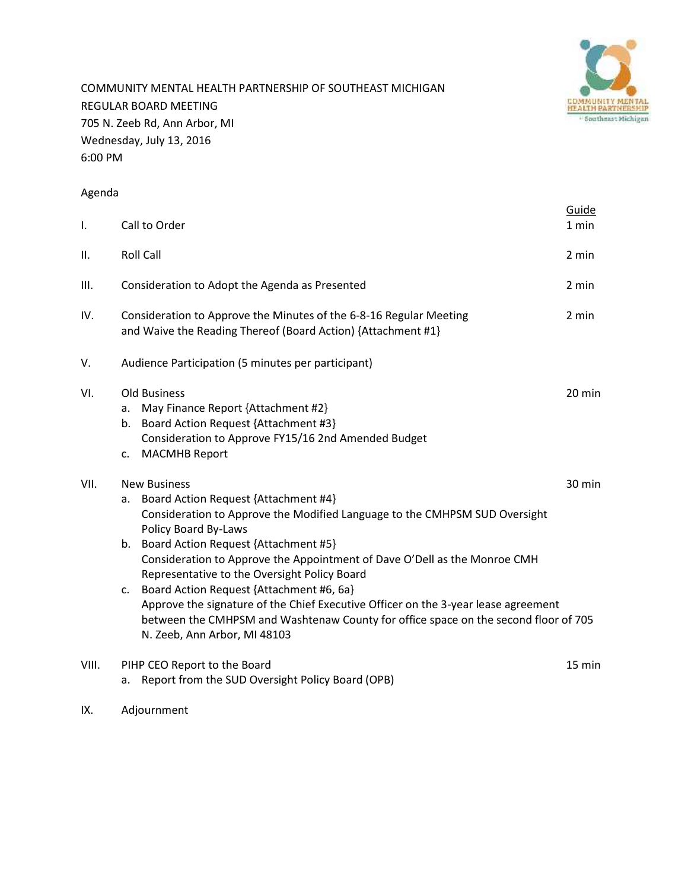

COMMUNITY MENTAL HEALTH PARTNERSHIP OF SOUTHEAST MICHIGAN REGULAR BOARD MEETING 705 N. Zeeb Rd, Ann Arbor, MI Wednesday, July 13, 2016 6:00 PM

#### Agenda

|       |                                                                                                                                                                                                                                                                                                                                                                                                                                                                                                                                                                                                                   | Guide  |
|-------|-------------------------------------------------------------------------------------------------------------------------------------------------------------------------------------------------------------------------------------------------------------------------------------------------------------------------------------------------------------------------------------------------------------------------------------------------------------------------------------------------------------------------------------------------------------------------------------------------------------------|--------|
| I.    | Call to Order                                                                                                                                                                                                                                                                                                                                                                                                                                                                                                                                                                                                     | 1 min  |
| ΙΙ.   | <b>Roll Call</b>                                                                                                                                                                                                                                                                                                                                                                                                                                                                                                                                                                                                  | 2 min  |
| III.  | Consideration to Adopt the Agenda as Presented                                                                                                                                                                                                                                                                                                                                                                                                                                                                                                                                                                    | 2 min  |
| IV.   | Consideration to Approve the Minutes of the 6-8-16 Regular Meeting<br>and Waive the Reading Thereof (Board Action) {Attachment #1}                                                                                                                                                                                                                                                                                                                                                                                                                                                                                | 2 min  |
| V.    | Audience Participation (5 minutes per participant)                                                                                                                                                                                                                                                                                                                                                                                                                                                                                                                                                                |        |
| VI.   | <b>Old Business</b><br>May Finance Report {Attachment #2}<br>a.<br>Board Action Request {Attachment #3}<br>b.<br>Consideration to Approve FY15/16 2nd Amended Budget<br><b>MACMHB Report</b><br>c.                                                                                                                                                                                                                                                                                                                                                                                                                | 20 min |
| VII.  | <b>New Business</b><br>Board Action Request {Attachment #4}<br>а.<br>Consideration to Approve the Modified Language to the CMHPSM SUD Oversight<br>Policy Board By-Laws<br>Board Action Request {Attachment #5}<br>b.<br>Consideration to Approve the Appointment of Dave O'Dell as the Monroe CMH<br>Representative to the Oversight Policy Board<br>Board Action Request {Attachment #6, 6a}<br>c.<br>Approve the signature of the Chief Executive Officer on the 3-year lease agreement<br>between the CMHPSM and Washtenaw County for office space on the second floor of 705<br>N. Zeeb, Ann Arbor, MI 48103 | 30 min |
| VIII. | PIHP CEO Report to the Board<br>Report from the SUD Oversight Policy Board (OPB)<br>а.                                                                                                                                                                                                                                                                                                                                                                                                                                                                                                                            | 15 min |

IX. Adjournment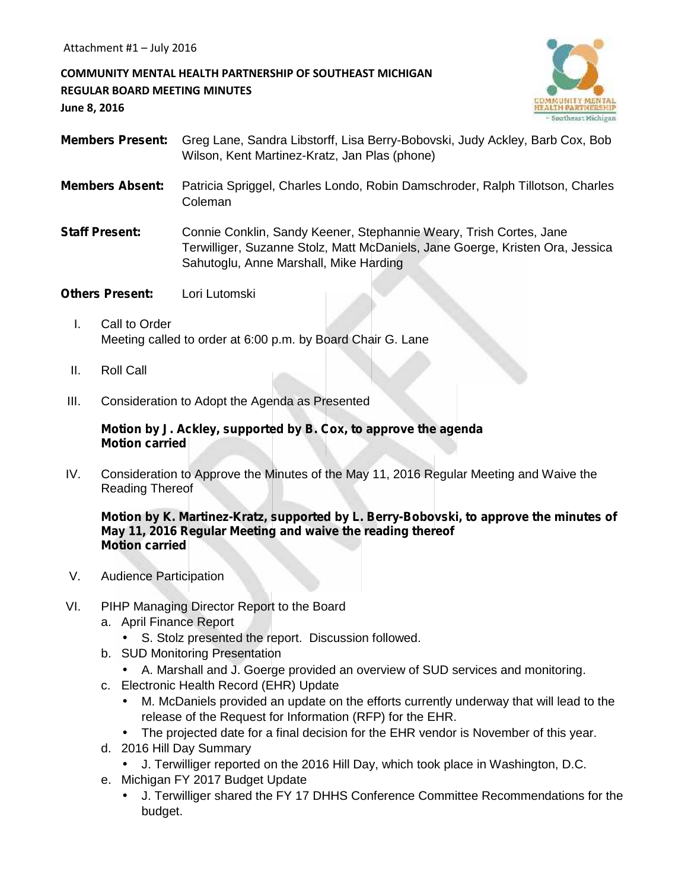#### **COMMUNITY MENTAL HEALTH PARTNERSHIP OF SOUTHEAST MICHIGAN REGULAR BOARD MEETING MINUTES June 8, 2016**



- **Members Present:** Greg Lane, Sandra Libstorff, Lisa Berry-Bobovski, Judy Ackley, Barb Cox, Bob Wilson, Kent Martinez-Kratz, Jan Plas (phone)
- **Members Absent:** Patricia Spriggel, Charles Londo, Robin Damschroder, Ralph Tillotson, Charles Coleman

**Staff Present:** Connie Conklin, Sandy Keener, Stephannie Weary, Trish Cortes, Jane Terwilliger, Suzanne Stolz, Matt McDaniels, Jane Goerge, Kristen Ora, Jessica Sahutoglu, Anne Marshall, Mike Harding

- **Others Present:** Lori Lutomski
	- I. Call to Order Meeting called to order at 6:00 p.m. by Board Chair G. Lane
	- II. Roll Call
- III. Consideration to Adopt the Agenda as Presented

#### **Motion by J. Ackley, supported by B. Cox, to approve the agenda Motion carried**

IV. Consideration to Approve the Minutes of the May 11, 2016 Regular Meeting and Waive the Reading Thereof

#### **Motion by K. Martinez-Kratz, supported by L. Berry-Bobovski, to approve the minutes of May 11, 2016 Regular Meeting and waive the reading thereof Motion carried**

- V. Audience Participation
- VI. PIHP Managing Director Report to the Board
	- a. April Finance Report
		- S. Stolz presented the report. Discussion followed.
	- b. SUD Monitoring Presentation
		- A. Marshall and J. Goerge provided an overview of SUD services and monitoring.
	- c. Electronic Health Record (EHR) Update
		- M. McDaniels provided an update on the efforts currently underway that will lead to the release of the Request for Information (RFP) for the EHR.
		- The projected date for a final decision for the EHR vendor is November of this year.
	- d. 2016 Hill Day Summary
		- J. Terwilliger reported on the 2016 Hill Day, which took place in Washington, D.C.
	- e. Michigan FY 2017 Budget Update
		- J. Terwilliger shared the FY 17 DHHS Conference Committee Recommendations for the budget.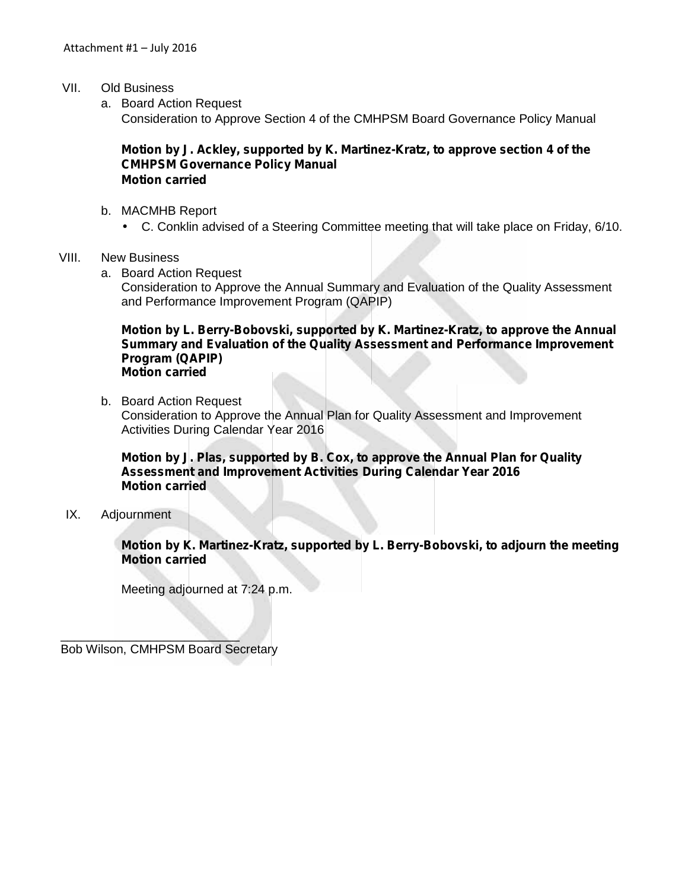- VII. Old Business
	- a. Board Action Request Consideration to Approve Section 4 of the CMHPSM Board Governance Policy Manual

#### **Motion by J. Ackley, supported by K. Martinez-Kratz, to approve section 4 of the CMHPSM Governance Policy Manual Motion carried**

- b. MACMHB Report
	- C. Conklin advised of a Steering Committee meeting that will take place on Friday, 6/10.
- VIII. New Business
	- a. Board Action Request

Consideration to Approve the Annual Summary and Evaluation of the Quality Assessment and Performance Improvement Program (QAPIP)

#### **Motion by L. Berry-Bobovski, supported by K. Martinez-Kratz, to approve the Annual Summary and Evaluation of the Quality Assessment and Performance Improvement Program (QAPIP) Motion carried**

b. Board Action Request

Consideration to Approve the Annual Plan for Quality Assessment and Improvement Activities During Calendar Year 2016

**Motion by J. Plas, supported by B. Cox, to approve the Annual Plan for Quality Assessment and Improvement Activities During Calendar Year 2016 Motion carried**

IX. Adjournment

**Motion by K. Martinez-Kratz, supported by L. Berry-Bobovski, to adjourn the meeting Motion carried**

Meeting adjourned at 7:24 p.m.

 $\sim$   $\sim$   $\sim$   $\sim$   $\sim$   $\sim$   $\sim$   $\sim$ Bob Wilson, CMHPSM Board Secretary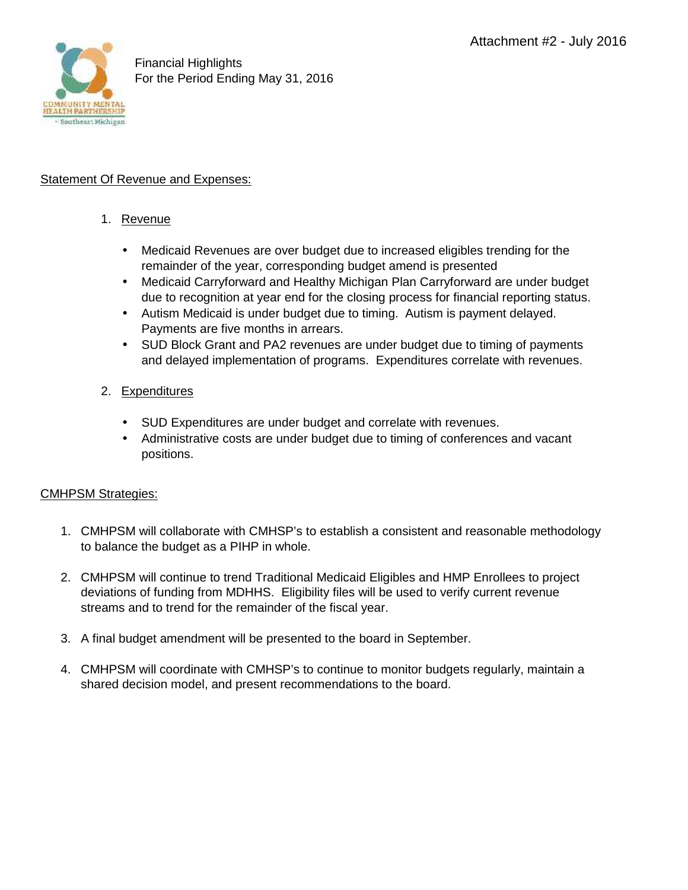

#### **Statement Of Revenue and Expenses:**

#### 1. Revenue

- Medicaid Revenues are over budget due to increased eligibles trending for the remainder of the year, corresponding budget amend is presented
- Medicaid Carryforward and Healthy Michigan Plan Carryforward are under budget due to recognition at year end for the closing process for financial reporting status.
- Autism Medicaid is under budget due to timing. Autism is payment delayed. Payments are five months in arrears.
- SUD Block Grant and PA2 revenues are under budget due to timing of payments and delayed implementation of programs. Expenditures correlate with revenues.

#### 2. Expenditures

- SUD Expenditures are under budget and correlate with revenues.
- Administrative costs are under budget due to timing of conferences and vacant positions.

#### CMHPSM Strategies:

- 1. CMHPSM will collaborate with CMHSP's to establish a consistent and reasonable methodology to balance the budget as a PIHP in whole.
- 2. CMHPSM will continue to trend Traditional Medicaid Eligibles and HMP Enrollees to project deviations of funding from MDHHS. Eligibility files will be used to verify current revenue streams and to trend for the remainder of the fiscal year.
- 3. A final budget amendment will be presented to the board in September.
- 4. CMHPSM will coordinate with CMHSP's to continue to monitor budgets regularly, maintain a shared decision model, and present recommendations to the board.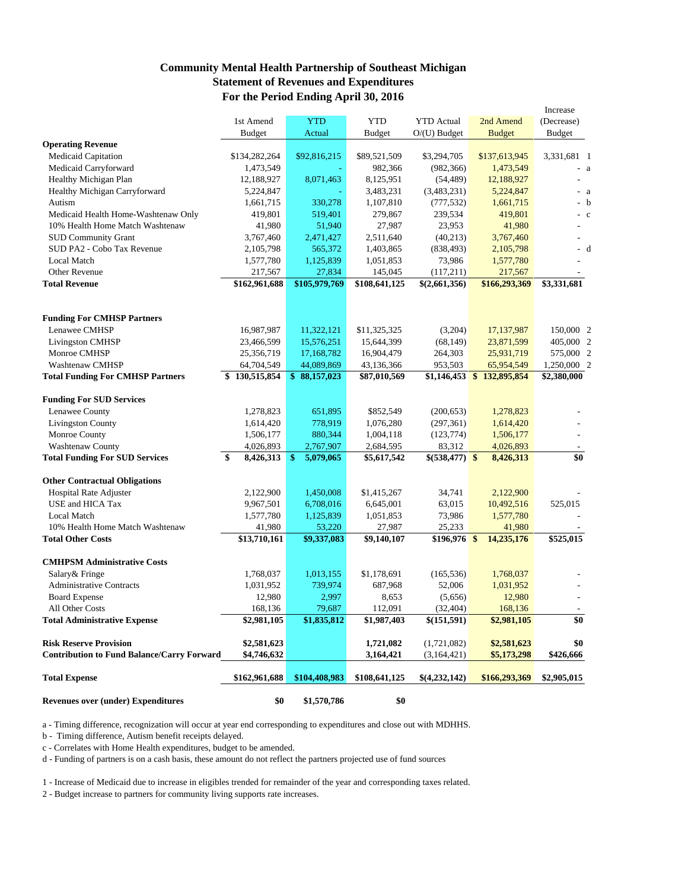#### **Community Mental Health Partnership of Southeast Michigan Statement of Revenues and Expenditures For the Period Ending April 30, 2016**

|                                                   |                 |                            |               |                   |                             | Increase      |
|---------------------------------------------------|-----------------|----------------------------|---------------|-------------------|-----------------------------|---------------|
|                                                   | 1st Amend       | <b>YTD</b>                 | <b>YTD</b>    | <b>YTD</b> Actual | 2nd Amend                   | (Decrease)    |
|                                                   | Budget          | Actual                     | <b>Budget</b> | $O(U)$ Budget     | <b>Budget</b>               | <b>Budget</b> |
| <b>Operating Revenue</b>                          |                 |                            |               |                   |                             |               |
| Medicaid Capitation                               | \$134,282,264   | \$92,816,215               | \$89,521,509  | \$3,294,705       | \$137,613,945               | 3,331,681 1   |
| Medicaid Carryforward                             | 1,473,549       |                            | 982,366       | (982, 366)        | 1,473,549                   | $- a$         |
| Healthy Michigan Plan                             | 12,188,927      | 8,071,463                  | 8,125,951     | (54, 489)         | 12,188,927                  |               |
| Healthy Michigan Carryforward                     | 5,224,847       |                            | 3,483,231     | (3,483,231)       | 5,224,847                   | $- a$         |
| Autism                                            | 1,661,715       | 330,278                    | 1,107,810     | (777, 532)        | 1,661,715                   | - b           |
| Medicaid Health Home-Washtenaw Only               | 419,801         | 519,401                    | 279,867       | 239,534           | 419,801                     | $-c$          |
| 10% Health Home Match Washtenaw                   | 41,980          | 51,940                     | 27,987        | 23,953            | 41,980                      |               |
| <b>SUD Community Grant</b>                        | 3,767,460       | 2,471,427                  | 2,511,640     | (40,213)          | 3,767,460                   | ÷,            |
| SUD PA2 - Cobo Tax Revenue                        | 2,105,798       | 565,372                    | 1,403,865     | (838, 493)        | 2,105,798                   | - d           |
| <b>Local Match</b>                                | 1,577,780       | 1,125,839                  | 1,051,853     | 73,986            | 1,577,780                   |               |
| Other Revenue                                     | 217,567         | 27,834                     | 145,045       | (117,211)         | 217,567                     |               |
| <b>Total Revenue</b>                              | \$162,961,688   | \$105,979,769              | \$108,641,125 | \$(2,661,356)     | \$166,293,369               | \$3,331,681   |
|                                                   |                 |                            |               |                   |                             |               |
| <b>Funding For CMHSP Partners</b>                 |                 |                            |               |                   |                             |               |
| Lenawee CMHSP                                     | 16,987,987      | 11,322,121                 | \$11,325,325  | (3,204)           | 17, 137, 987                | 150,000 2     |
| <b>Livingston CMHSP</b>                           | 23,466,599      | 15,576,251                 | 15,644,399    | (68, 149)         | 23,871,599                  | 405,000 2     |
| Monroe CMHSP                                      | 25,356,719      | 17,168,782                 | 16,904,479    | 264,303           | 25,931,719                  | 575,000 2     |
| Washtenaw CMHSP                                   | 64,704,549      | 44,089,869                 | 43,136,366    | 953,503           | 65,954,549                  | 1,250,000 2   |
|                                                   | 130,515,854     | \$88,157,023               |               |                   | $$1,146,453$ $$132,895,854$ | \$2,380,000   |
| <b>Total Funding For CMHSP Partners</b>           |                 |                            | \$87,010,569  |                   |                             |               |
| <b>Funding For SUD Services</b>                   |                 |                            |               |                   |                             |               |
| Lenawee County                                    | 1,278,823       | 651,895                    | \$852,549     | (200, 653)        | 1,278,823                   |               |
| <b>Livingston County</b>                          | 1,614,420       | 778,919                    | 1,076,280     | (297, 361)        | 1,614,420                   |               |
| Monroe County                                     | 1,506,177       | 880,344                    | 1,004,118     | (123, 774)        | 1,506,177                   |               |
| Washtenaw County                                  | 4,026,893       | 2,767,907                  | 2,684,595     | 83,312            | 4,026,893                   |               |
| <b>Total Funding For SUD Services</b>             | \$<br>8,426,313 | $\frac{1}{2}$<br>5,079,065 | \$5,617,542   | $$(538,477)$ \\$  | 8,426,313                   | \$0           |
| <b>Other Contractual Obligations</b>              |                 |                            |               |                   |                             |               |
| Hospital Rate Adjuster                            | 2,122,900       | 1,450,008                  | \$1,415,267   | 34,741            | 2,122,900                   |               |
| USE and HICA Tax                                  | 9,967,501       | 6,708,016                  | 6,645,001     | 63,015            | 10,492,516                  | 525,015       |
| <b>Local Match</b>                                | 1,577,780       | 1,125,839                  | 1,051,853     | 73,986            | 1,577,780                   |               |
| 10% Health Home Match Washtenaw                   | 41,980          | 53,220                     | 27,987        | 25,233            | 41,980                      |               |
| <b>Total Other Costs</b>                          | \$13,710,161    | \$9,337,083                | \$9,140,107   | $$196,976$ \$     | 14,235,176                  | \$525,015     |
|                                                   |                 |                            |               |                   |                             |               |
| <b>CMHPSM Administrative Costs</b>                |                 |                            |               |                   |                             |               |
| Salary& Fringe                                    | 1,768,037       | 1,013,155                  | \$1,178,691   | (165, 536)        | 1,768,037                   |               |
| <b>Administrative Contracts</b>                   | 1,031,952       | 739,974                    | 687,968       | 52,006            | 1,031,952                   |               |
| <b>Board Expense</b>                              | 12,980          | 2,997                      | 8,653         | (5,656)           | 12,980                      |               |
| All Other Costs                                   | 168,136         | 79,687                     | 112,091       | (32, 404)         | 168,136                     |               |
| <b>Total Administrative Expense</b>               | \$2,981,105     | \$1,835,812                | \$1,987,403   | \$(151,591)       | \$2,981,105                 | \$0           |
| <b>Risk Reserve Provision</b>                     | \$2,581,623     |                            | 1,721,082     | (1,721,082)       | \$2,581,623                 | \$0           |
| <b>Contribution to Fund Balance/Carry Forward</b> | \$4,746,632     |                            | 3,164,421     | (3,164,421)       | \$5,173,298                 | \$426,666     |
|                                                   |                 |                            |               |                   |                             |               |
| <b>Total Expense</b>                              | \$162,961,688   | \$104,408,983              | \$108,641,125 | \$(4,232,142)     | \$166,293,369               | \$2,905,015   |
| <b>Revenues over (under) Expenditures</b>         | \$0             | \$1,570,786                | \$0           |                   |                             |               |
|                                                   |                 |                            |               |                   |                             |               |

a - Timing difference, recognization will occur at year end corresponding to expenditures and close out with MDHHS.

b - Timing difference, Autism benefit receipts delayed.

c - Correlates with Home Health expenditures, budget to be amended.

d - Funding of partners is on a cash basis, these amount do not reflect the partners projected use of fund sources

1 - Increase of Medicaid due to increase in eligibles trended for remainder of the year and corresponding taxes related.

2 - Budget increase to partners for community living supports rate increases.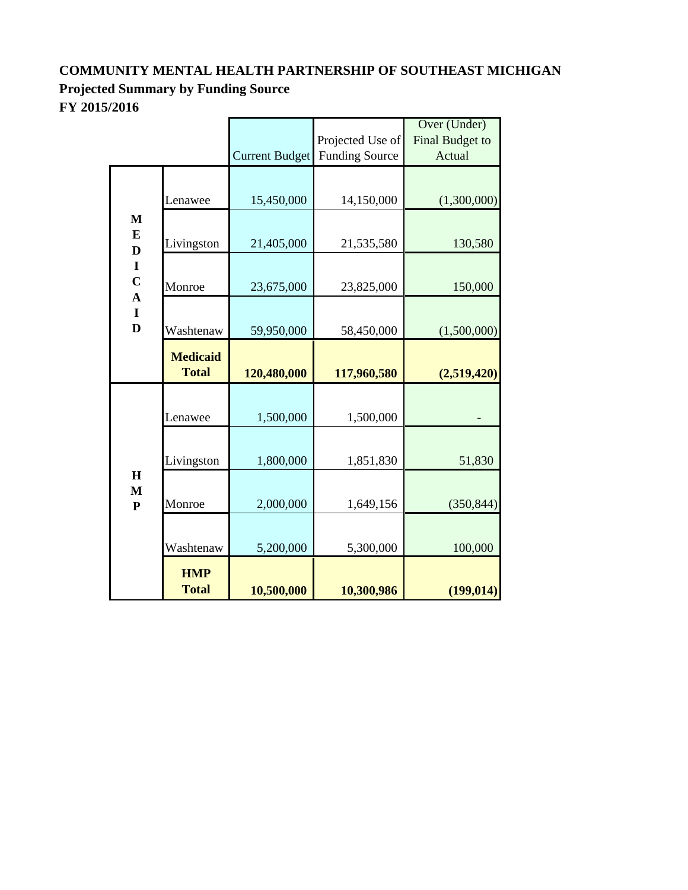## **COMMUNITY MENTAL HEALTH PARTNERSHIP OF SOUTHEAST MICHIGAN Projected Summary by Funding Source FY 2015/2016**

|                                            |                                 |                       |                       | Over (Under)    |  |
|--------------------------------------------|---------------------------------|-----------------------|-----------------------|-----------------|--|
|                                            |                                 |                       | Projected Use of      | Final Budget to |  |
|                                            |                                 | <b>Current Budget</b> | <b>Funding Source</b> | Actual          |  |
|                                            | Lenawee                         | 15,450,000            | 14,150,000            | (1,300,000)     |  |
| $\mathbf{M}$<br>${\bf E}$<br>$\mathbf D$   | Livingston                      | 21,405,000            | 21,535,580            | 130,580         |  |
| $\mathbf I$<br>$\mathbf C$<br>$\mathbf{A}$ | Monroe                          | 23,675,000            | 23,825,000            | 150,000         |  |
| $\mathbf I$<br>$\mathbf{D}$                | Washtenaw                       | 59,950,000            | 58,450,000            | (1,500,000)     |  |
|                                            | <b>Medicaid</b><br><b>Total</b> | 120,480,000           | 117,960,580           | (2,519,420)     |  |
|                                            | Lenawee                         | 1,500,000             | 1,500,000             |                 |  |
|                                            | Livingston                      | 1,800,000             | 1,851,830             | 51,830          |  |
| $\mathbf H$<br>M<br>${\bf P}$              | Monroe                          | 2,000,000             | 1,649,156             | (350, 844)      |  |
|                                            | Washtenaw                       | 5,200,000             | 5,300,000             | 100,000         |  |
|                                            | <b>HMP</b><br><b>Total</b>      | 10,500,000            | 10,300,986            | (199, 014)      |  |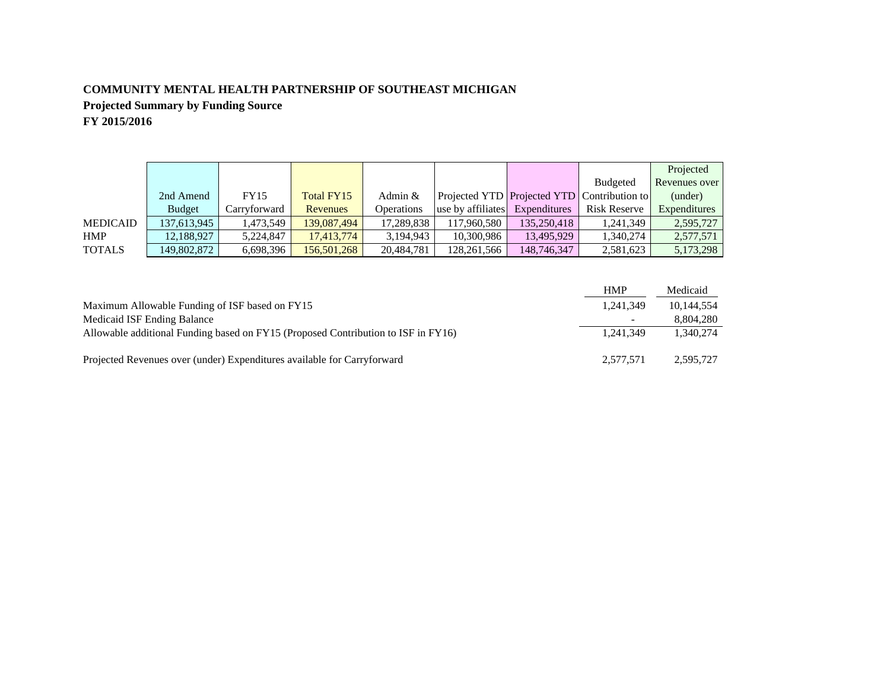#### **COMMUNITY MENTAL HEALTH PARTNERSHIP OF SOUTHEAST MICHIGAN**

**Projected Summary by Funding Source FY 2015/2016**

|  | F 1 <i>2</i> 015/ <i>2</i> 010 |  |  |
|--|--------------------------------|--|--|
|  |                                |  |  |

|                 |               |              |             |                   |                                |                                                    |                 | Projected            |
|-----------------|---------------|--------------|-------------|-------------------|--------------------------------|----------------------------------------------------|-----------------|----------------------|
|                 |               |              |             |                   |                                |                                                    | <b>Budgeted</b> | <b>Revenues</b> over |
|                 | 2nd Amend     | <b>FY15</b>  | Total FY15  | Admin $&$         |                                | <b>Projected YTD</b> Projected YTD Contribution to |                 | (under)              |
|                 | <b>Budget</b> | Carryforward | Revenues    | <b>Operations</b> | use by affiliates Expenditures |                                                    | Risk Reserve    | Expenditures         |
| <b>MEDICAID</b> | 137,613,945   | 1,473,549    | 139,087,494 | 17,289,838        | 117,960,580                    | 135,250,418                                        | 1,241,349       | 2,595,727            |
| <b>HMP</b>      | 12.188.927    | 5.224.847    | 17.413.774  | 3.194.943         | 10,300,986                     | 13,495,929                                         | 1.340.274       | 2,577,571            |
| <b>TOTALS</b>   | 149,802,872   | 6,698,396    | 156,501,268 | 20,484,781        | 128,261,566                    | 148,746,347                                        | 2,581,623       | 5,173,298            |

|                                                                                   | <b>HMP</b> | Medicaid   |
|-----------------------------------------------------------------------------------|------------|------------|
| Maximum Allowable Funding of ISF based on FY15                                    | 1.241.349  | 10.144.554 |
| Medicaid ISF Ending Balance                                                       |            | 8.804.280  |
| Allowable additional Funding based on FY15 (Proposed Contribution to ISF in FY16) | 1.241.349  | 1.340.274  |
|                                                                                   |            |            |
| Projected Revenues over (under) Expenditures available for Carryforward           | 2,577,571  | 2,595,727  |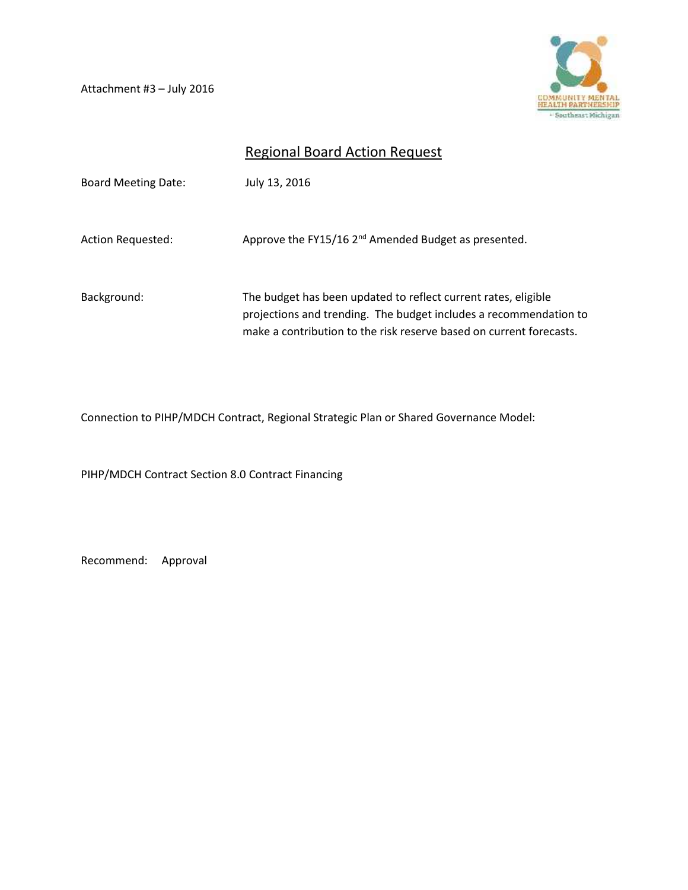Attachment #3 – July 2016



## Regional Board Action Request

| <b>Board Meeting Date:</b> | July 13, 2016                                                                                                                                                                                              |
|----------------------------|------------------------------------------------------------------------------------------------------------------------------------------------------------------------------------------------------------|
| Action Requested:          | Approve the FY15/16 2 <sup>nd</sup> Amended Budget as presented.                                                                                                                                           |
| Background:                | The budget has been updated to reflect current rates, eligible<br>projections and trending. The budget includes a recommendation to<br>make a contribution to the risk reserve based on current forecasts. |

Connection to PIHP/MDCH Contract, Regional Strategic Plan or Shared Governance Model:

PIHP/MDCH Contract Section 8.0 Contract Financing

Recommend: Approval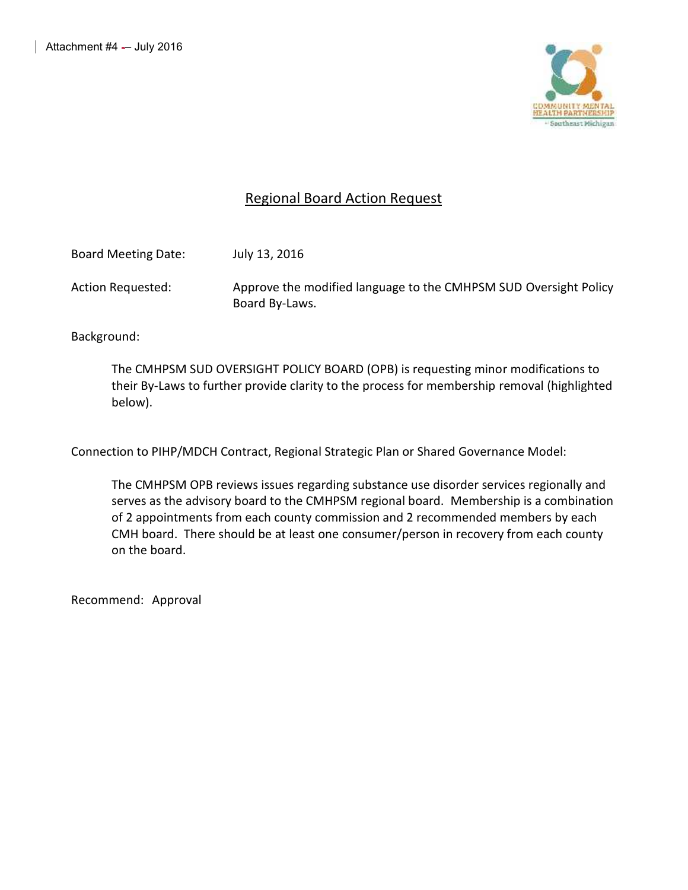

#### Regional Board Action Request

| <b>Board Meeting Date:</b> | July 13, 2016                                                    |
|----------------------------|------------------------------------------------------------------|
| Action Requested:          | Approve the modified language to the CMHPSM SUD Oversight Policy |
|                            | Board By-Laws.                                                   |

Background:

The CMHPSM SUD OVERSIGHT POLICY BOARD (OPB) is requesting minor modifications to their By-Laws to further provide clarity to the process for membership removal (highlighted below).

Connection to PIHP/MDCH Contract, Regional Strategic Plan or Shared Governance Model:

The CMHPSM OPB reviews issues regarding substance use disorder services regionally and serves as the advisory board to the CMHPSM regional board. Membership is a combination of 2 appointments from each county commission and 2 recommended members by each CMH board. There should be at least one consumer/person in recovery from each county on the board.

Recommend: Approval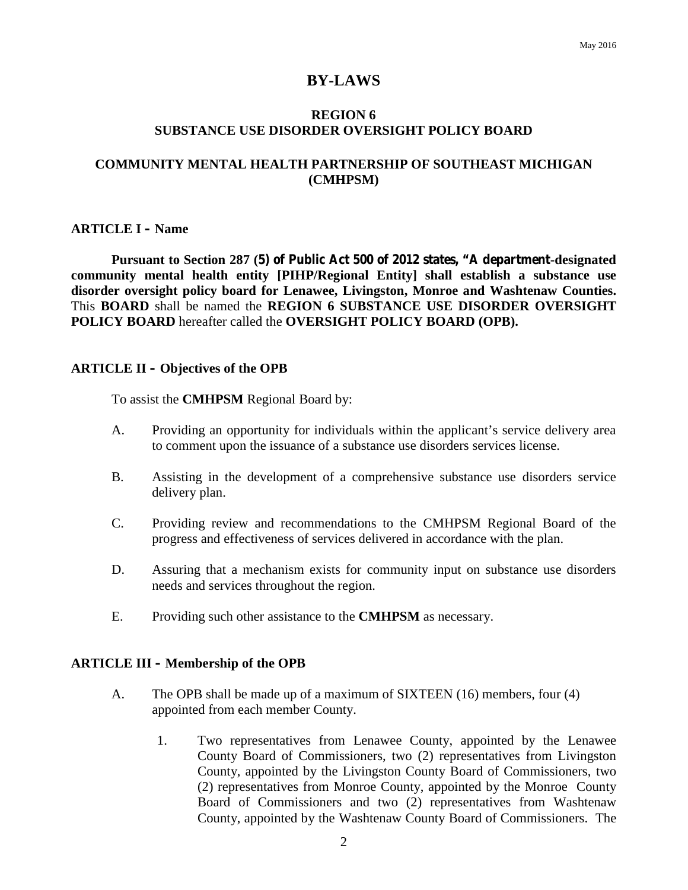#### **BY-LAWS**

#### **REGION 6 SUBSTANCE USE DISORDER OVERSIGHT POLICY BOARD**

#### **COMMUNITY MENTAL HEALTH PARTNERSHIP OF SOUTHEAST MICHIGAN (CMHPSM)**

#### **ARTICLE I – Name**

**Pursuant to Section 287 (5) of Public Act 500 of 2012 states, "A department-designated community mental health entity [PIHP/Regional Entity] shall establish a substance use disorder oversight policy board for Lenawee, Livingston, Monroe and Washtenaw Counties.** This **BOARD** shall be named the **REGION 6 SUBSTANCE USE DISORDER OVERSIGHT POLICY BOARD** hereafter called the **OVERSIGHT POLICY BOARD (OPB).**

#### **ARTICLE II – Objectives of the OPB**

To assist the **CMHPSM** Regional Board by:

- A. Providing an opportunity for individuals within the applicant's service delivery area to comment upon the issuance of a substance use disorders services license.
- B. Assisting in the development of a comprehensive substance use disorders service delivery plan.
- C. Providing review and recommendations to the CMHPSM Regional Board of the progress and effectiveness of services delivered in accordance with the plan.
- D. Assuring that a mechanism exists for community input on substance use disorders needs and services throughout the region.
- E. Providing such other assistance to the **CMHPSM** as necessary.

#### **ARTICLE III – Membership of the OPB**

- A. The OPB shall be made up of a maximum of SIXTEEN (16) members, four (4) appointed from each member County.
	- 1. Two representatives from Lenawee County, appointed by the Lenawee County Board of Commissioners, two (2) representatives from Livingston County, appointed by the Livingston County Board of Commissioners, two (2) representatives from Monroe County, appointed by the Monroe County Board of Commissioners and two (2) representatives from Washtenaw County, appointed by the Washtenaw County Board of Commissioners. The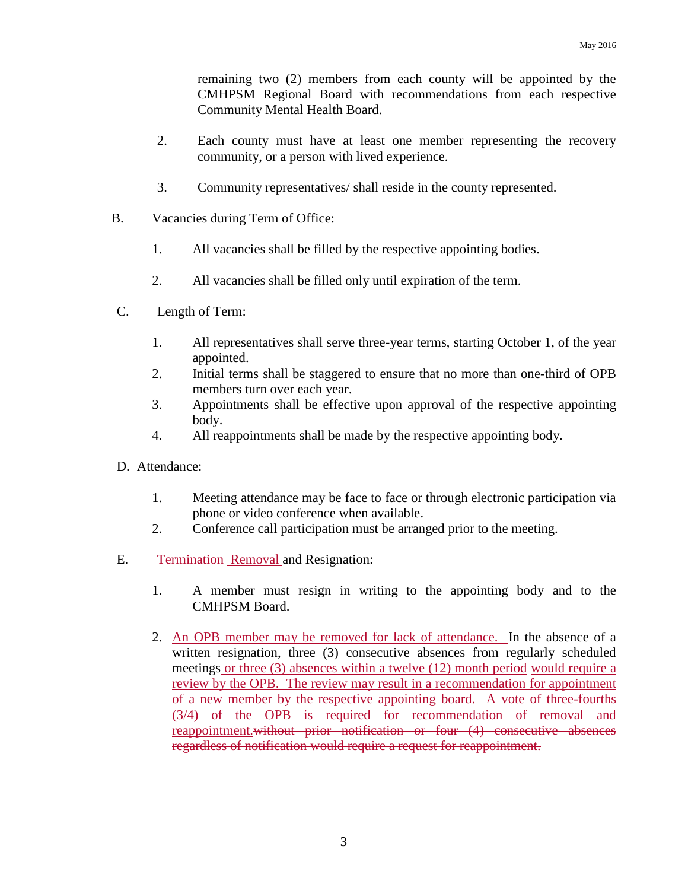remaining two (2) members from each county will be appointed by the CMHPSM Regional Board with recommendations from each respective Community Mental Health Board.

- 2. Each county must have at least one member representing the recovery community, or a person with lived experience.
- 3. Community representatives/ shall reside in the county represented.
- B. Vacancies during Term of Office:
	- 1. All vacancies shall be filled by the respective appointing bodies.
	- 2. All vacancies shall be filled only until expiration of the term.
- C. Length of Term:
	- 1. All representatives shall serve three-year terms, starting October 1, of the year appointed.
	- 2. Initial terms shall be staggered to ensure that no more than one-third of OPB members turn over each year.
	- 3. Appointments shall be effective upon approval of the respective appointing body.
	- 4. All reappointments shall be made by the respective appointing body.
- D. Attendance:
	- 1. Meeting attendance may be face to face or through electronic participation via phone or video conference when available.
	- 2. Conference call participation must be arranged prior to the meeting.
- E. Termination Removal and Resignation:
	- 1. A member must resign in writing to the appointing body and to the CMHPSM Board.
	- 2. An OPB member may be removed for lack of attendance. In the absence of a written resignation, three (3) consecutive absences from regularly scheduled meetings or three (3) absences within a twelve (12) month period would require a review by the OPB. The review may result in a recommendation for appointment of a new member by the respective appointing board. A vote of three-fourths (3/4) of the OPB is required for recommendation of removal and reappointment.without prior notification or four (4) consecutive absences regardless of notification would require a request for reappointment.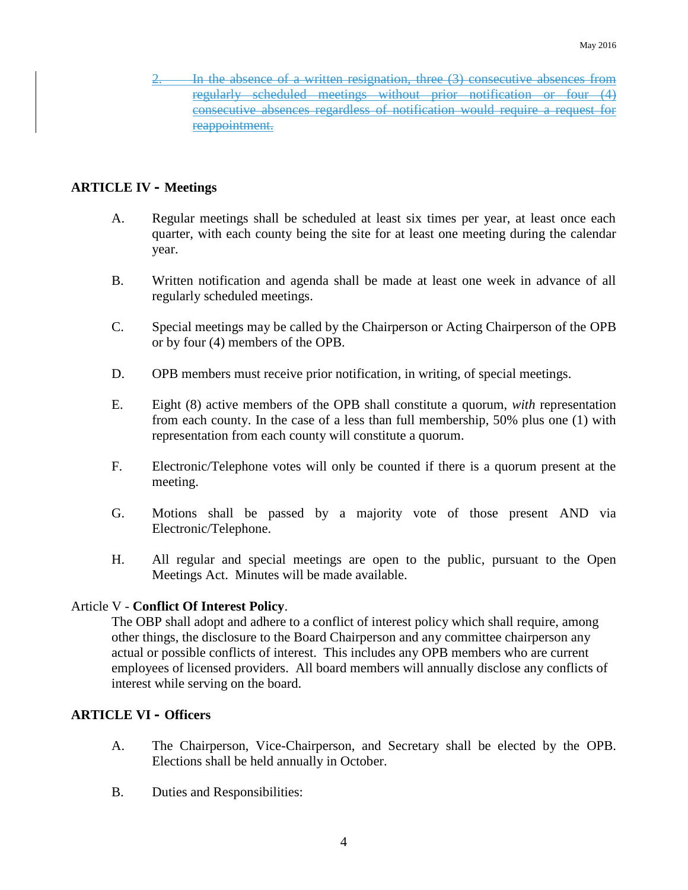In the absence of a written resignation, three (3) consecutive absences from regularly scheduled meetings without prior notification or four (4) consecutive absences regardless of notification would require a request for reappointment.

#### **ARTICLE IV – Meetings**

- A. Regular meetings shall be scheduled at least six times per year, at least once each quarter, with each county being the site for at least one meeting during the calendar year.
- B. Written notification and agenda shall be made at least one week in advance of all regularly scheduled meetings.
- C. Special meetings may be called by the Chairperson or Acting Chairperson of the OPB or by four (4) members of the OPB.
- D. OPB members must receive prior notification, in writing, of special meetings.
- E. Eight (8) active members of the OPB shall constitute a quorum, *with* representation from each county. In the case of a less than full membership, 50% plus one (1) with representation from each county will constitute a quorum.
- F. Electronic/Telephone votes will only be counted if there is a quorum present at the meeting.
- G. Motions shall be passed by a majority vote of those present AND via Electronic/Telephone.
- H. All regular and special meetings are open to the public, pursuant to the Open Meetings Act. Minutes will be made available.

#### Article V - **Conflict Of Interest Policy**.

The OBP shall adopt and adhere to a conflict of interest policy which shall require, among other things, the disclosure to the Board Chairperson and any committee chairperson any actual or possible conflicts of interest. This includes any OPB members who are current employees of licensed providers. All board members will annually disclose any conflicts of interest while serving on the board.

#### **ARTICLE VI – Officers**

- A. The Chairperson, Vice-Chairperson, and Secretary shall be elected by the OPB. Elections shall be held annually in October.
- B. Duties and Responsibilities: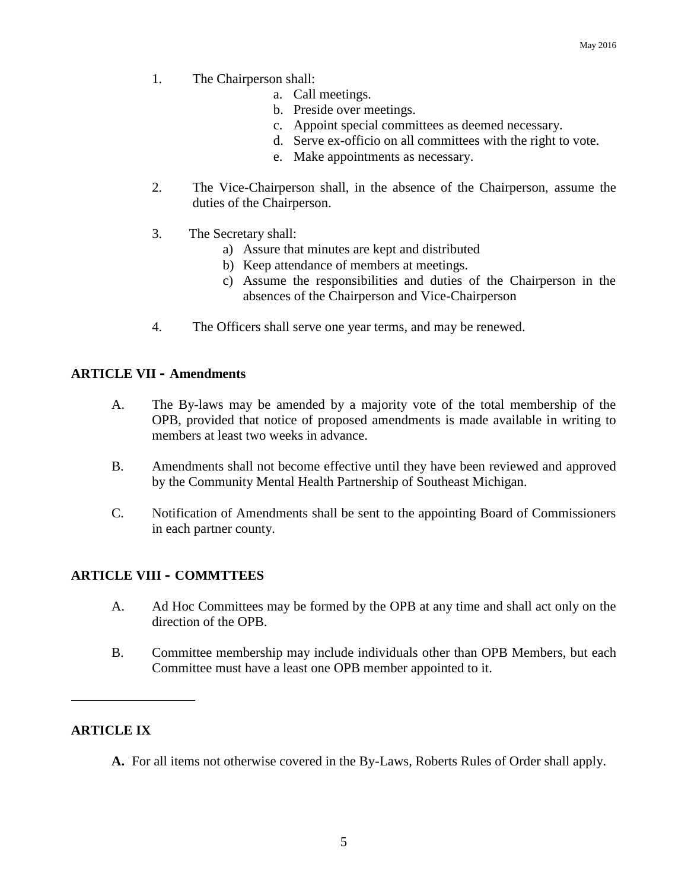- 1. The Chairperson shall:
	- a. Call meetings.
	- b. Preside over meetings.
	- c. Appoint special committees as deemed necessary.
	- d. Serve ex-officio on all committees with the right to vote.
	- e. Make appointments as necessary.
- 2. The Vice-Chairperson shall, in the absence of the Chairperson, assume the duties of the Chairperson.
- 3. The Secretary shall:
	- a) Assure that minutes are kept and distributed
	- b) Keep attendance of members at meetings.
	- c) Assume the responsibilities and duties of the Chairperson in the absences of the Chairperson and Vice-Chairperson
- 4. The Officers shall serve one year terms, and may be renewed.

#### **ARTICLE VII – Amendments**

- A. The By-laws may be amended by a majority vote of the total membership of the OPB, provided that notice of proposed amendments is made available in writing to members at least two weeks in advance.
- B. Amendments shall not become effective until they have been reviewed and approved by the Community Mental Health Partnership of Southeast Michigan.
- C. Notification of Amendments shall be sent to the appointing Board of Commissioners in each partner county.

#### **ARTICLE VIII – COMMTTEES**

- A. Ad Hoc Committees may be formed by the OPB at any time and shall act only on the direction of the OPB.
- B. Committee membership may include individuals other than OPB Members, but each Committee must have a least one OPB member appointed to it.

#### **ARTICLE IX**

**A.** For all items not otherwise covered in the By-Laws, Roberts Rules of Order shall apply.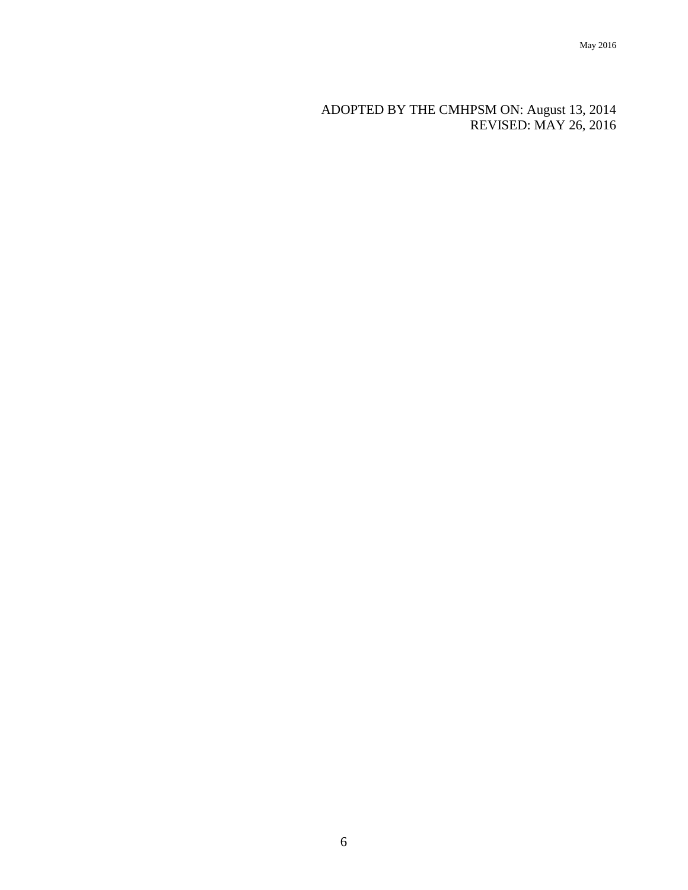ADOPTED BY THE CMHPSM ON: August 13, 2014 REVISED: MAY 26, 2016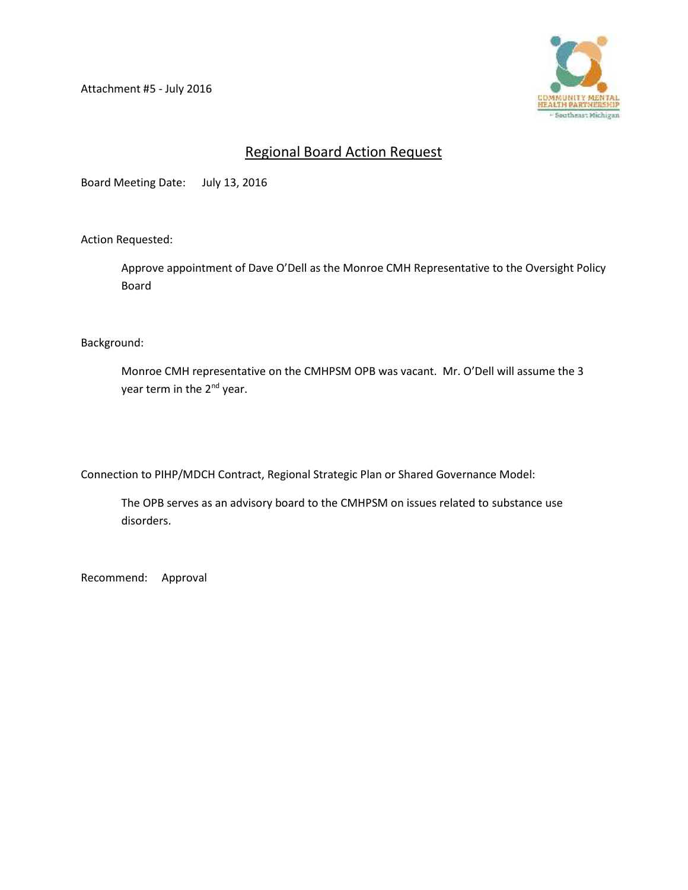Attachment #5 - July 2016



#### Regional Board Action Request

Board Meeting Date: July 13, 2016

Action Requested:

Approve appointment of Dave O'Dell as the Monroe CMH Representative to the Oversight Policy Board

Background:

Monroe CMH representative on the CMHPSM OPB was vacant. Mr. O'Dell will assume the 3 year term in the 2<sup>nd</sup> year.

Connection to PIHP/MDCH Contract, Regional Strategic Plan or Shared Governance Model:

The OPB serves as an advisory board to the CMHPSM on issues related to substance use disorders.

Recommend: Approval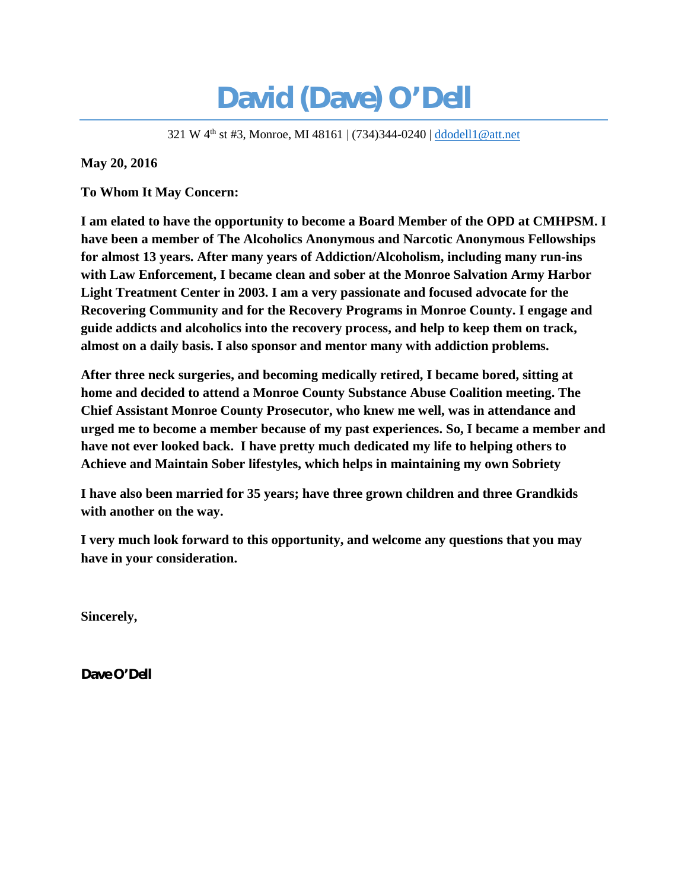# **David (Dave) O'Dell**

321 W 4th st #3, Monroe, MI 48161 | (734)344-0240 | ddodell1@att.net

**May 20, 2016**

**To Whom It May Concern:**

**I am elated to have the opportunity to become a Board Member of the OPD at CMHPSM. I have been a member of The Alcoholics Anonymous and Narcotic Anonymous Fellowships for almost 13 years. After many years of Addiction/Alcoholism, including many run-ins with Law Enforcement, I became clean and sober at the Monroe Salvation Army Harbor Light Treatment Center in 2003. I am a very passionate and focused advocate for the Recovering Community and for the Recovery Programs in Monroe County. I engage and guide addicts and alcoholics into the recovery process, and help to keep them on track, almost on a daily basis. I also sponsor and mentor many with addiction problems.**

**After three neck surgeries, and becoming medically retired, I became bored, sitting at home and decided to attend a Monroe County Substance Abuse Coalition meeting. The Chief Assistant Monroe County Prosecutor, who knew me well, was in attendance and urged me to become a member because of my past experiences. So, I became a member and have not ever looked back. I have pretty much dedicated my life to helping others to Achieve and Maintain Sober lifestyles, which helps in maintaining my own Sobriety**

**I have also been married for 35 years; have three grown children and three Grandkids with another on the way.**

**I very much look forward to this opportunity, and welcome any questions that you may have in your consideration.**

**Sincerely,**

**Dave O'Dell**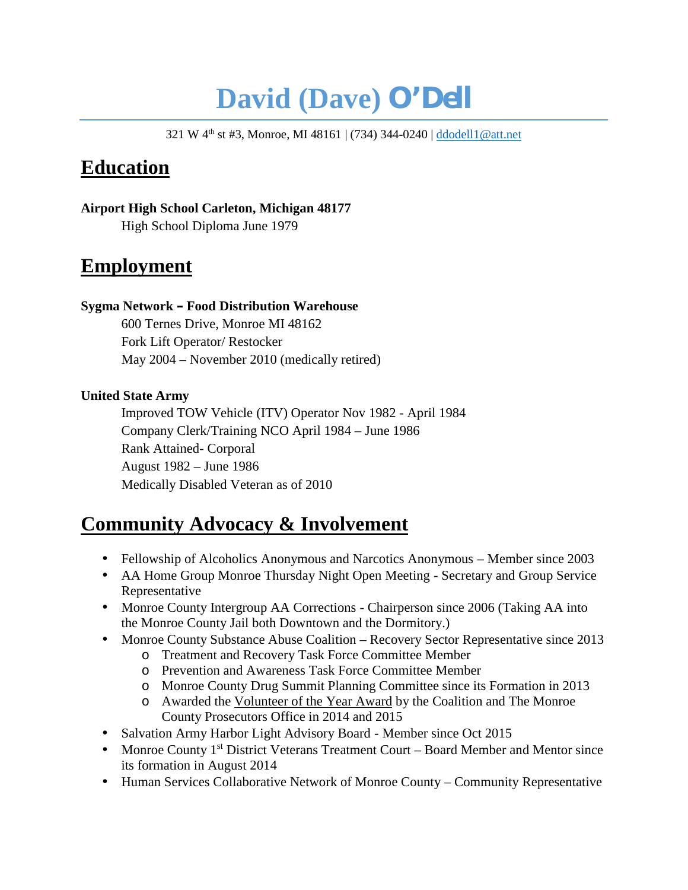# **David (Dave) O'Dell**

321 W 4th st #3, Monroe, MI 48161 | (734) 344-0240 | ddodell1@att.net

## **Education**

**Airport High School Carleton, Michigan 48177** High School Diploma June 1979

## **Employment**

#### **Sygma Network – Food Distribution Warehouse**

600 Ternes Drive, Monroe MI 48162 Fork Lift Operator/ Restocker May 2004 – November 2010 (medically retired)

#### **United State Army**

Improved TOW Vehicle (ITV) Operator Nov 1982 - April 1984 Company Clerk/Training NCO April 1984 – June 1986 Rank Attained- Corporal August 1982 – June 1986 Medically Disabled Veteran as of 2010

## **Community Advocacy & Involvement**

- Fellowship of Alcoholics Anonymous and Narcotics Anonymous Member since 2003 AA Home Group Monroe Thursday Night Open Meeting - Secretary and Group Service Representative
- Monroe County Intergroup AA Corrections Chairperson since 2006 (Taking AA into the Monroe County Jail both Downtown and the Dormitory.)
- Monroe County Substance Abuse Coalition Recovery Sector Representative since 2013
	- o Treatment and Recovery Task Force Committee Member
	- o Prevention and Awareness Task Force Committee Member
	- o Monroe County Drug Summit Planning Committee since its Formation in 2013
	- o Awarded the Volunteer of the Year Award by the Coalition and The Monroe County Prosecutors Office in 2014 and 2015
- Salvation Army Harbor Light Advisory Board Member since Oct 2015
- Monroe County 1st District Veterans Treatment Court Board Member and Mentor since its formation in August 2014
- Human Services Collaborative Network of Monroe County Community Representative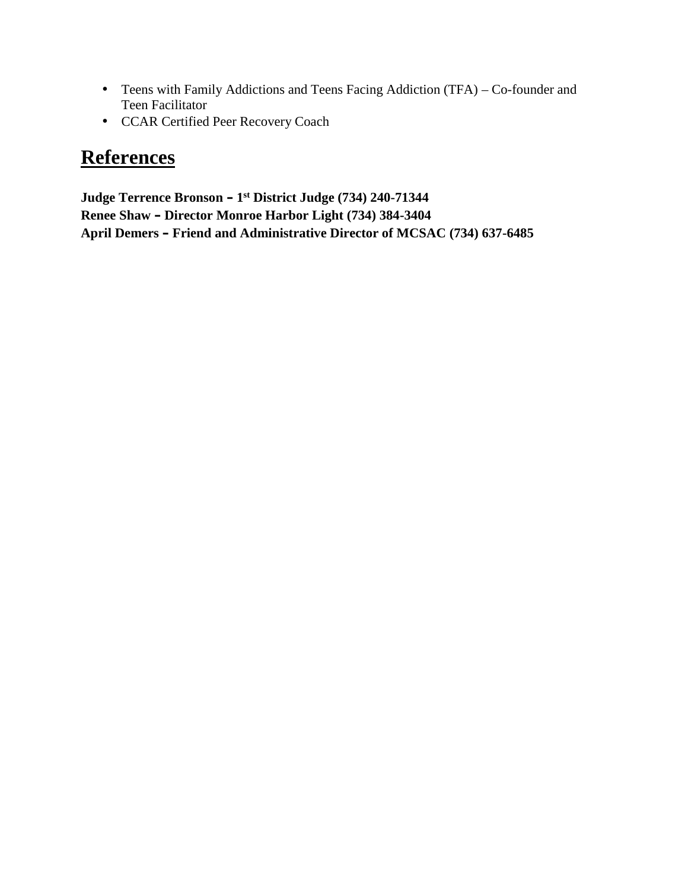- Teens with Family Addictions and Teens Facing Addiction (TFA) Co-founder and Teen Facilitator
- CCAR Certified Peer Recovery Coach

## **References**

**Judge Terrence Bronson – 1 st District Judge (734) 240-71344 Renee Shaw – Director Monroe Harbor Light (734) 384-3404 April Demers – Friend and Administrative Director of MCSAC (734) 637-6485**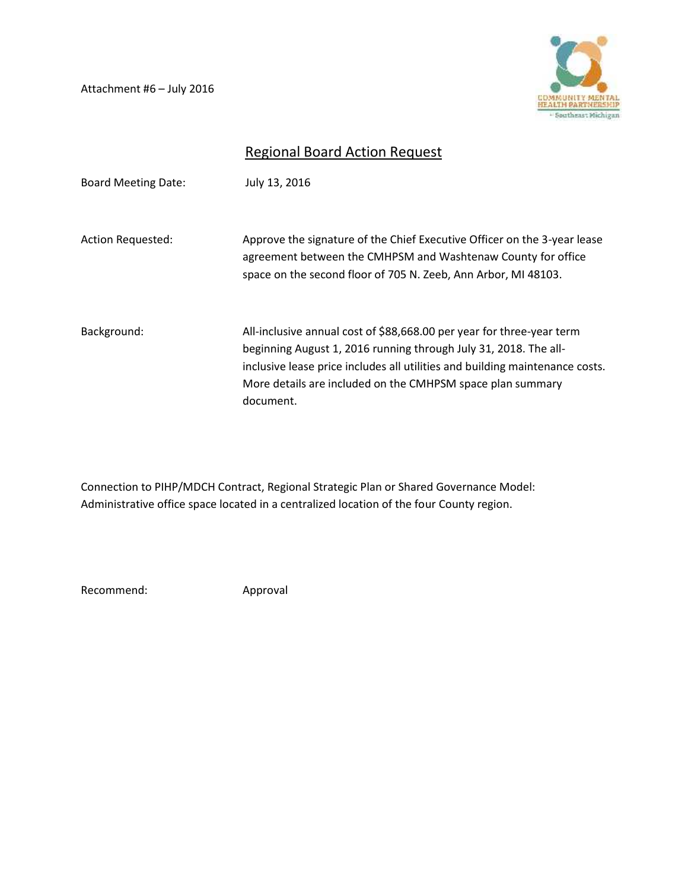Attachment #6 – July 2016



## Regional Board Action Request

| <b>Board Meeting Date:</b> | July 13, 2016                                                                                                                                                                                                                                                                           |
|----------------------------|-----------------------------------------------------------------------------------------------------------------------------------------------------------------------------------------------------------------------------------------------------------------------------------------|
| <b>Action Requested:</b>   | Approve the signature of the Chief Executive Officer on the 3-year lease<br>agreement between the CMHPSM and Washtenaw County for office<br>space on the second floor of 705 N. Zeeb, Ann Arbor, MI 48103.                                                                              |
| Background:                | All-inclusive annual cost of \$88,668.00 per year for three-year term<br>beginning August 1, 2016 running through July 31, 2018. The all-<br>inclusive lease price includes all utilities and building maintenance costs.<br>More details are included on the CMHPSM space plan summary |
|                            | document.                                                                                                                                                                                                                                                                               |

Connection to PIHP/MDCH Contract, Regional Strategic Plan or Shared Governance Model: Administrative office space located in a centralized location of the four County region.

Recommend: Approval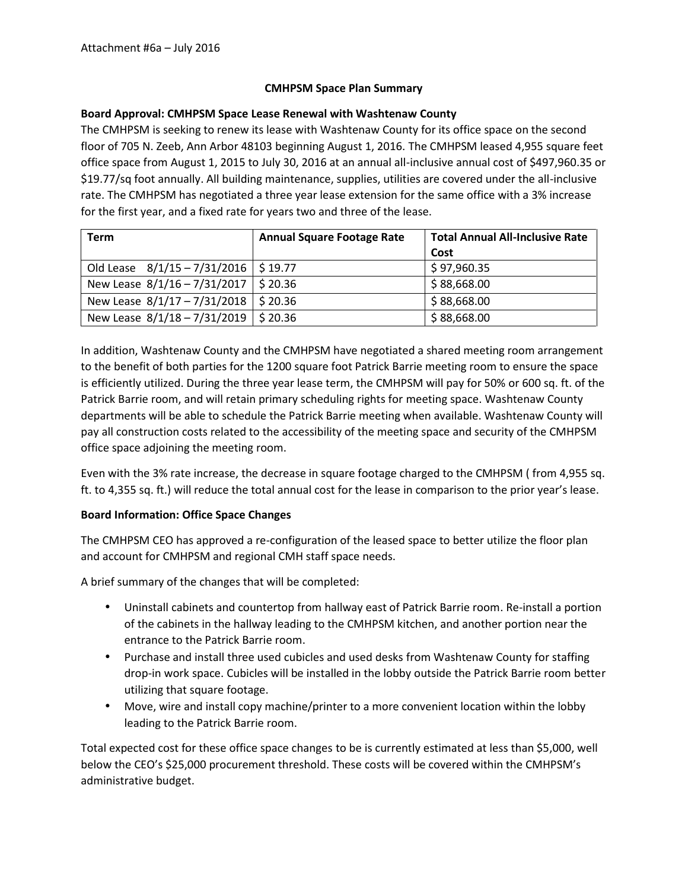#### **CMHPSM Space Plan Summary**

#### **Board Approval: CMHPSM Space Lease Renewal with Washtenaw County**

The CMHPSM is seeking to renew its lease with Washtenaw County for its office space on the second floor of 705 N. Zeeb, Ann Arbor 48103 beginning August 1, 2016. The CMHPSM leased 4,955 square feet office space from August 1, 2015 to July 30, 2016 at an annual all-inclusive annual cost of \$497,960.35 or \$19.77/sq foot annually. All building maintenance, supplies, utilities are covered under the all-inclusive rate. The CMHPSM has negotiated a three year lease extension for the same office with a 3% increase for the first year, and a fixed rate for years two and three of the lease.

| <b>Term</b>                    | <b>Annual Square Footage Rate</b> | <b>Total Annual All-Inclusive Rate</b> |
|--------------------------------|-----------------------------------|----------------------------------------|
|                                |                                   | Cost                                   |
| Old Lease $8/1/15 - 7/31/2016$ | \$ 19.77                          | \$97,960.35                            |
| New Lease 8/1/16 - 7/31/2017   | \$ 20.36                          | \$88,668.00                            |
| New Lease 8/1/17 - 7/31/2018   | \$20.36                           | \$88,668.00                            |
| New Lease 8/1/18 - 7/31/2019   | \$20.36                           | \$88,668.00                            |

In addition, Washtenaw County and the CMHPSM have negotiated a shared meeting room arrangement to the benefit of both parties for the 1200 square foot Patrick Barrie meeting room to ensure the space is efficiently utilized. During the three year lease term, the CMHPSM will pay for 50% or 600 sq. ft. of the Patrick Barrie room, and will retain primary scheduling rights for meeting space. Washtenaw County departments will be able to schedule the Patrick Barrie meeting when available. Washtenaw County will pay all construction costs related to the accessibility of the meeting space and security of the CMHPSM office space adjoining the meeting room.

Even with the 3% rate increase, the decrease in square footage charged to the CMHPSM ( from 4,955 sq. ft. to 4,355 sq. ft.) will reduce the total annual cost for the lease in comparison to the prior year's lease.

#### **Board Information: Office Space Changes**

The CMHPSM CEO has approved a re-configuration of the leased space to better utilize the floor plan and account for CMHPSM and regional CMH staff space needs.

A brief summary of the changes that will be completed:

- Uninstall cabinets and countertop from hallway east of Patrick Barrie room. Re-install a portion of the cabinets in the hallway leading to the CMHPSM kitchen, and another portion near the entrance to the Patrick Barrie room.
- Purchase and install three used cubicles and used desks from Washtenaw County for staffing drop-in work space. Cubicles will be installed in the lobby outside the Patrick Barrie room better utilizing that square footage.
- Move, wire and install copy machine/printer to a more convenient location within the lobby leading to the Patrick Barrie room.

Total expected cost for these office space changes to be is currently estimated at less than \$5,000, well below the CEO's \$25,000 procurement threshold. These costs will be covered within the CMHPSM's administrative budget.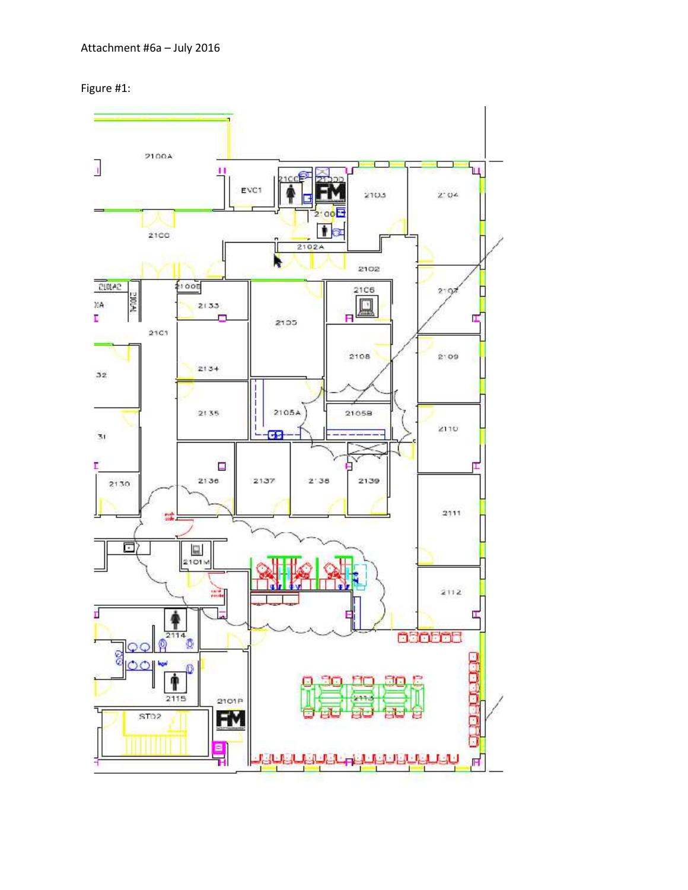Figure #1:

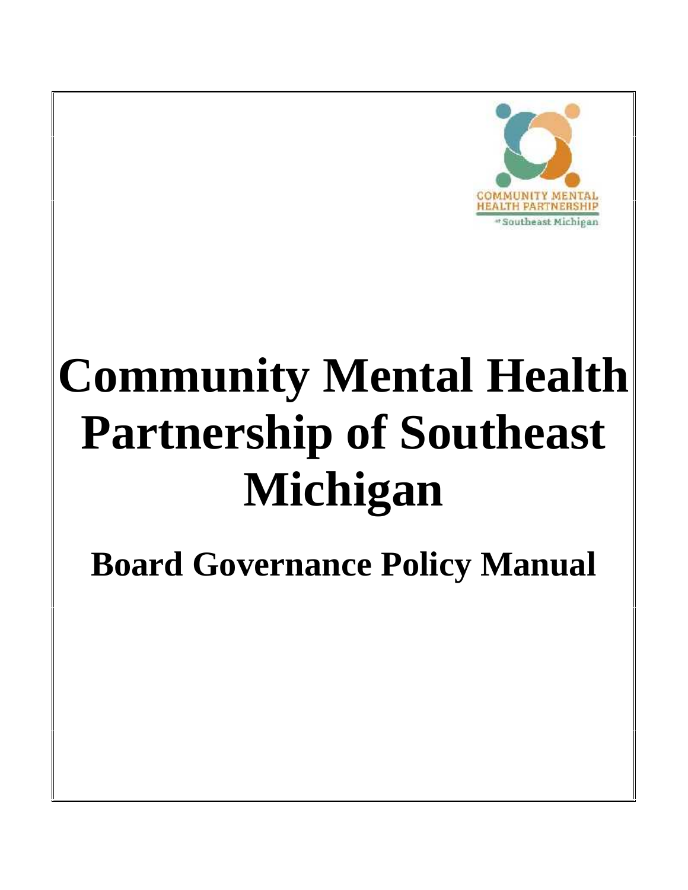

# **Community Mental Health Partnership of Southeast Michigan**

**Board Governance Policy Manual**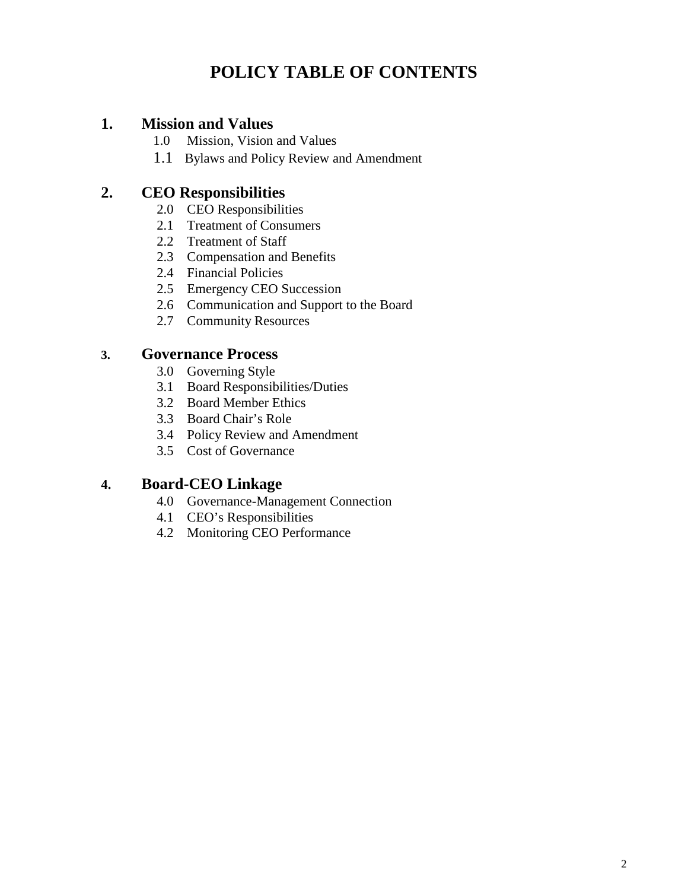## **POLICY TABLE OF CONTENTS**

#### **1. Mission and Values**

- 1.0 Mission, Vision and Values
- 1.1 Bylaws and Policy Review and Amendment

## **2. CEO Responsibilities**

- 2.0 CEO Responsibilities
- 2.1 Treatment of Consumers
- 2.2 Treatment of Staff
- 2.3 Compensation and Benefits
- 2.4 Financial Policies
- 2.5 Emergency CEO Succession
- 2.6 Communication and Support to the Board
- 2.7 Community Resources

#### **3. Governance Process**

- 3.0 Governing Style
- 3.1 Board Responsibilities/Duties
- 3.2 Board Member Ethics
- 3.3 Board Chair's Role
- 3.4 Policy Review and Amendment
- 3.5 Cost of Governance

#### **4. Board-CEO Linkage**

- 4.0 Governance-Management Connection
- 4.1 CEO's Responsibilities
- 4.2 Monitoring CEO Performance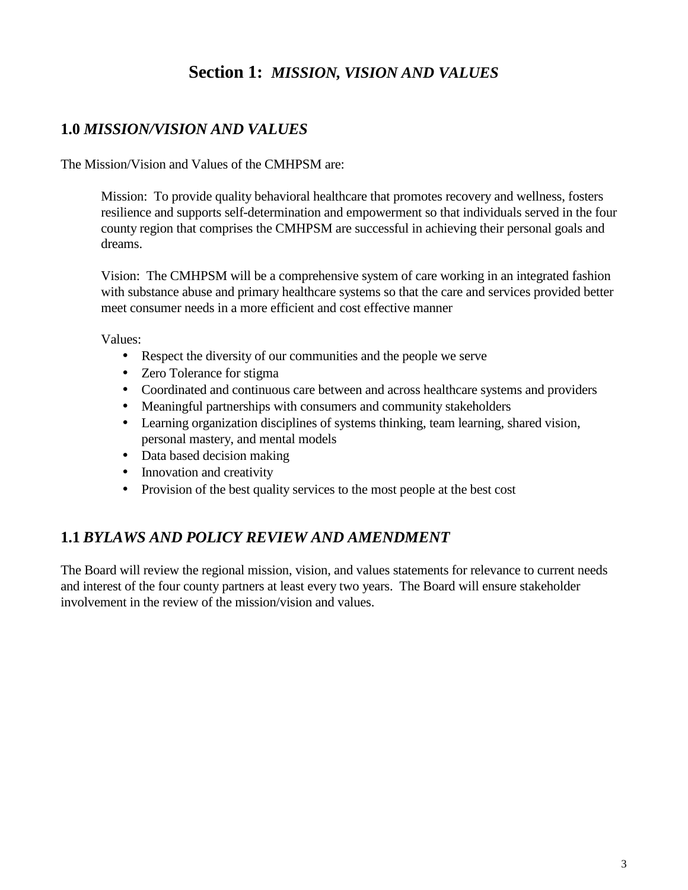## **Section 1:** *MISSION, VISION AND VALUES*

## **1.0** *MISSION/VISION AND VALUES*

The Mission/Vision and Values of the CMHPSM are:

Mission: To provide quality behavioral healthcare that promotes recovery and wellness, fosters resilience and supports self-determination and empowerment so that individuals served in the four county region that comprises the CMHPSM are successful in achieving their personal goals and dreams.

Vision: The CMHPSM will be a comprehensive system of care working in an integrated fashion with substance abuse and primary healthcare systems so that the care and services provided better meet consumer needs in a more efficient and cost effective manner

Values:

- Respect the diversity of our communities and the people we serve
- Zero Tolerance for stigma
- Coordinated and continuous care between and across healthcare systems and providers
- Meaningful partnerships with consumers and community stakeholders
- Learning organization disciplines of systems thinking, team learning, shared vision, personal mastery, and mental models
- Data based decision making
- Innovation and creativity
- $\hat{P}$  Provision of the best quality services to the most people at the best cost

#### **1.1** *BYLAWS AND POLICY REVIEW AND AMENDMENT*

The Board will review the regional mission, vision, and values statements for relevance to current needs and interest of the four county partners at least every two years. The Board will ensure stakeholder involvement in the review of the mission/vision and values.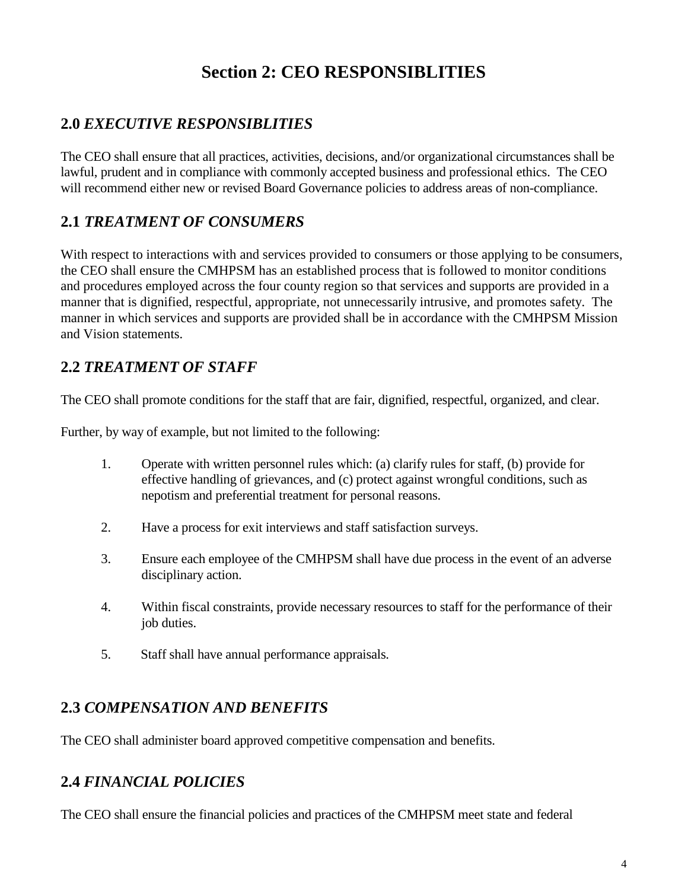## **Section 2: CEO RESPONSIBLITIES**

## **2.0** *EXECUTIVE RESPONSIBLITIES*

The CEO shall ensure that all practices, activities, decisions, and/or organizational circumstances shall be lawful, prudent and in compliance with commonly accepted business and professional ethics. The CEO will recommend either new or revised Board Governance policies to address areas of non-compliance.

## **2.1** *TREATMENT OF CONSUMERS*

With respect to interactions with and services provided to consumers or those applying to be consumers, the CEO shall ensure the CMHPSM has an established process that is followed to monitor conditions and procedures employed across the four county region so that services and supports are provided in a manner that is dignified, respectful, appropriate, not unnecessarily intrusive, and promotes safety. The manner in which services and supports are provided shall be in accordance with the CMHPSM Mission and Vision statements.

## **2.2** *TREATMENT OF STAFF*

The CEO shall promote conditions for the staff that are fair, dignified, respectful, organized, and clear.

Further, by way of example, but not limited to the following:

- 1. Operate with written personnel rules which: (a) clarify rules for staff, (b) provide for effective handling of grievances, and (c) protect against wrongful conditions, such as nepotism and preferential treatment for personal reasons.
- 2. Have a process for exit interviews and staff satisfaction surveys.
- 3. Ensure each employee of the CMHPSM shall have due process in the event of an adverse disciplinary action.
- 4. Within fiscal constraints, provide necessary resources to staff for the performance of their job duties.
- 5. Staff shall have annual performance appraisals.

## **2.3** *COMPENSATION AND BENEFITS*

The CEO shall administer board approved competitive compensation and benefits.

#### **2.4** *FINANCIAL POLICIES*

The CEO shall ensure the financial policies and practices of the CMHPSM meet state and federal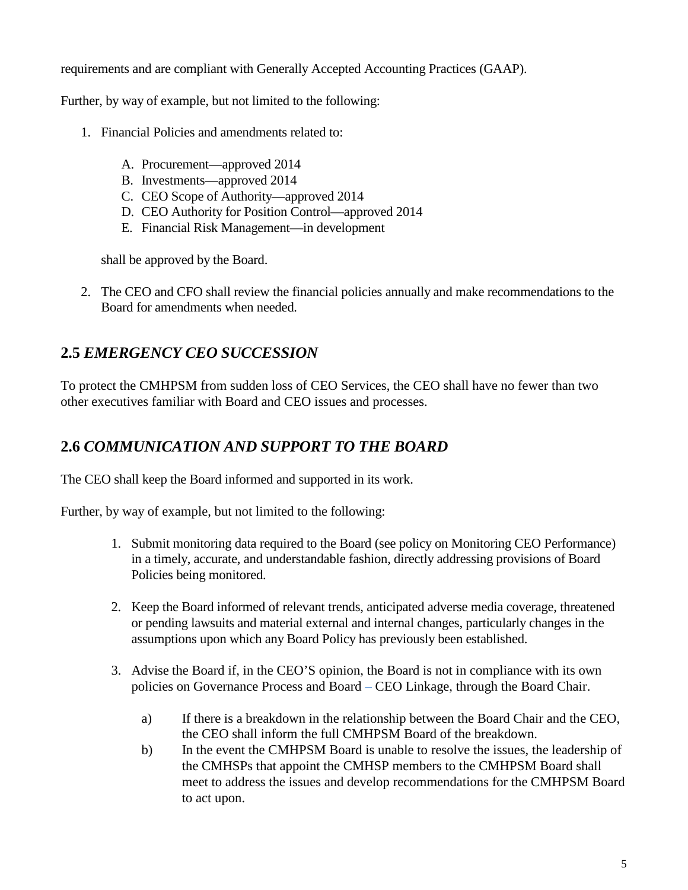requirements and are compliant with Generally Accepted Accounting Practices (GAAP).

Further, by way of example, but not limited to the following:

- 1. Financial Policies and amendments related to:
	- A. Procurement—approved 2014
	- B. Investments—approved 2014
	- C. CEO Scope of Authority—approved 2014
	- D. CEO Authority for Position Control—approved 2014
	- E. Financial Risk Management—in development

shall be approved by the Board.

2. The CEO and CFO shall review the financial policies annually and make recommendations to the Board for amendments when needed.

## **2.5** *EMERGENCY CEO SUCCESSION*

To protect the CMHPSM from sudden loss of CEO Services, the CEO shall have no fewer than two other executives familiar with Board and CEO issues and processes.

## **2.6** *COMMUNICATION AND SUPPORT TO THE BOARD*

The CEO shall keep the Board informed and supported in its work.

Further, by way of example, but not limited to the following:

- 1. Submit monitoring data required to the Board (see policy on Monitoring CEO Performance) in a timely, accurate, and understandable fashion, directly addressing provisions of Board Policies being monitored.
- 2. Keep the Board informed of relevant trends, anticipated adverse media coverage, threatened or pending lawsuits and material external and internal changes, particularly changes in the assumptions upon which any Board Policy has previously been established.
- 3. Advise the Board if, in the CEO'S opinion, the Board is not in compliance with its own policies on Governance Process and Board – CEO Linkage, through the Board Chair.
	- a) If there is a breakdown in the relationship between the Board Chair and the CEO, the CEO shall inform the full CMHPSM Board of the breakdown.
	- b) In the event the CMHPSM Board is unable to resolve the issues, the leadership of the CMHSPs that appoint the CMHSP members to the CMHPSM Board shall meet to address the issues and develop recommendations for the CMHPSM Board to act upon.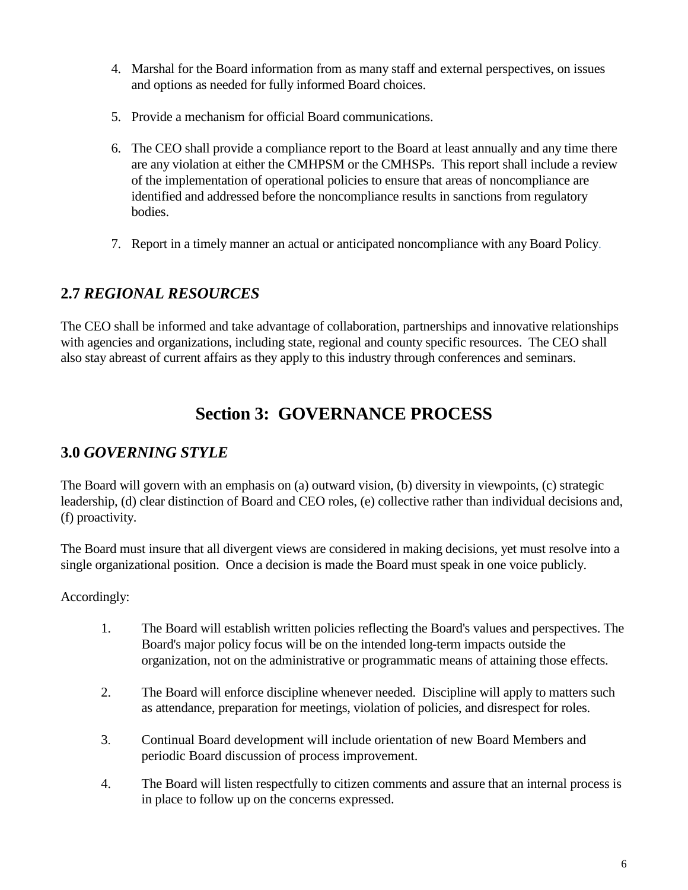- 4. Marshal for the Board information from as many staff and external perspectives, on issues and options as needed for fully informed Board choices.
- 5. Provide a mechanism for official Board communications.
- 6. The CEO shall provide a compliance report to the Board at least annually and any time there are any violation at either the CMHPSM or the CMHSPs. This report shall include a review of the implementation of operational policies to ensure that areas of noncompliance are identified and addressed before the noncompliance results in sanctions from regulatory bodies.
- 7. Report in a timely manner an actual or anticipated noncompliance with any Board Policy.

## **2.7** *REGIONAL RESOURCES*

The CEO shall be informed and take advantage of collaboration, partnerships and innovative relationships with agencies and organizations, including state, regional and county specific resources. The CEO shall also stay abreast of current affairs as they apply to this industry through conferences and seminars.

## **Section 3: GOVERNANCE PROCESS**

## **3.0** *GOVERNING STYLE*

The Board will govern with an emphasis on (a) outward vision, (b) diversity in viewpoints, (c) strategic leadership, (d) clear distinction of Board and CEO roles, (e) collective rather than individual decisions and, (f) proactivity.

The Board must insure that all divergent views are considered in making decisions, yet must resolve into a single organizational position. Once a decision is made the Board must speak in one voice publicly.

Accordingly:

- 1. The Board will establish written policies reflecting the Board's values and perspectives. The Board's major policy focus will be on the intended long-term impacts outside the organization, not on the administrative or programmatic means of attaining those effects.
- 2. The Board will enforce discipline whenever needed. Discipline will apply to matters such as attendance, preparation for meetings, violation of policies, and disrespect for roles.
- 3. Continual Board development will include orientation of new Board Members and periodic Board discussion of process improvement.
- 4. The Board will listen respectfully to citizen comments and assure that an internal process is in place to follow up on the concerns expressed.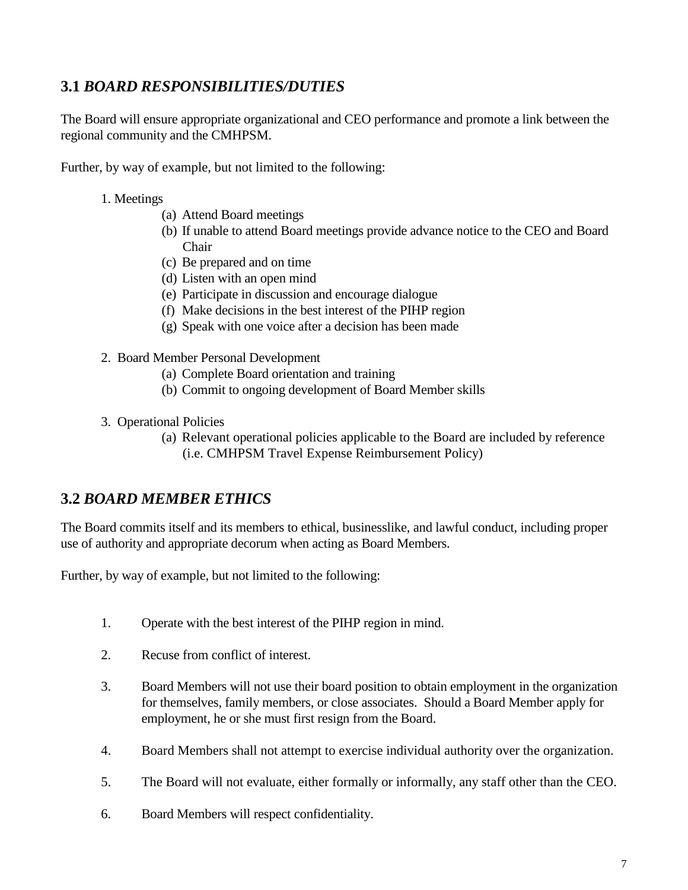## **3.1** *BOARD RESPONSIBILITIES/DUTIES*

The Board will ensure appropriate organizational and CEO performance and promote a link between the regional community and the CMHPSM.

Further, by way of example, but not limited to the following:

- 1. Meetings
	- (a) Attend Board meetings
	- (b) If unable to attend Board meetings provide advance notice to the CEO and Board Chair
	- (c) Be prepared and on time
	- (d) Listen with an open mind
	- (e) Participate in discussion and encourage dialogue
	- (f) Make decisions in the best interest of the PIHP region
	- (g) Speak with one voice after a decision has been made
- 2. Board Member Personal Development
	- (a) Complete Board orientation and training
	- (b) Commit to ongoing development of Board Member skills
- 3. Operational Policies
	- (a) Relevant operational policies applicable to the Board are included by reference (i.e. CMHPSM Travel Expense Reimbursement Policy)

#### **3.2** *BOARD MEMBER ETHICS*

The Board commits itself and its members to ethical, businesslike, and lawful conduct, including proper use of authority and appropriate decorum when acting as Board Members.

Further, by way of example, but not limited to the following:

- 1. Operate with the best interest of the PIHP region in mind.
- 2. Recuse from conflict of interest.
- 3. Board Members will not use their board position to obtain employment in the organization for themselves, family members, or close associates. Should a Board Member apply for employment, he or she must first resign from the Board.
- 4. Board Members shall not attempt to exercise individual authority over the organization.
- 5. The Board will not evaluate, either formally or informally, any staff other than the CEO.
- 6. Board Members will respect confidentiality.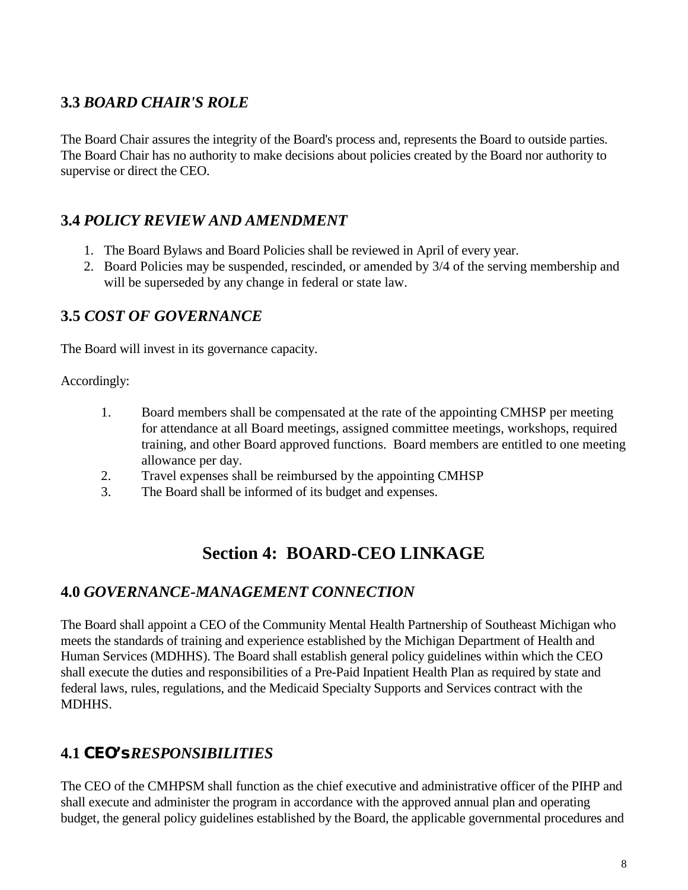## **3.3** *BOARD CHAIR'S ROLE*

The Board Chair assures the integrity of the Board's process and, represents the Board to outside parties. The Board Chair has no authority to make decisions about policies created by the Board nor authority to supervise or direct the CEO.

## **3.4** *POLICY REVIEW AND AMENDMENT*

- 1. The Board Bylaws and Board Policies shall be reviewed in April of every year.
- 2. Board Policies may be suspended, rescinded, or amended by 3/4 of the serving membership and will be superseded by any change in federal or state law.

## **3.5** *COST OF GOVERNANCE*

The Board will invest in its governance capacity.

Accordingly:

- 1. Board members shall be compensated at the rate of the appointing CMHSP per meeting for attendance at all Board meetings, assigned committee meetings, workshops, required training, and other Board approved functions. Board members are entitled to one meeting allowance per day.
- 2. Travel expenses shall be reimbursed by the appointing CMHSP
- 3. The Board shall be informed of its budget and expenses.

## **Section 4: BOARD-CEO LINKAGE**

#### **4.0** *GOVERNANCE-MANAGEMENT CONNECTION*

The Board shall appoint a CEO of the Community Mental Health Partnership of Southeast Michigan who meets the standards of training and experience established by the Michigan Department of Health and Human Services (MDHHS). The Board shall establish general policy guidelines within which the CEO shall execute the duties and responsibilities of a Pre-Paid Inpatient Health Plan as required by state and federal laws, rules, regulations, and the Medicaid Specialty Supports and Services contract with the MDHHS.

## **4.1** *CEO's RESPONSIBILITIES*

The CEO of the CMHPSM shall function as the chief executive and administrative officer of the PIHP and shall execute and administer the program in accordance with the approved annual plan and operating budget, the general policy guidelines established by the Board, the applicable governmental procedures and